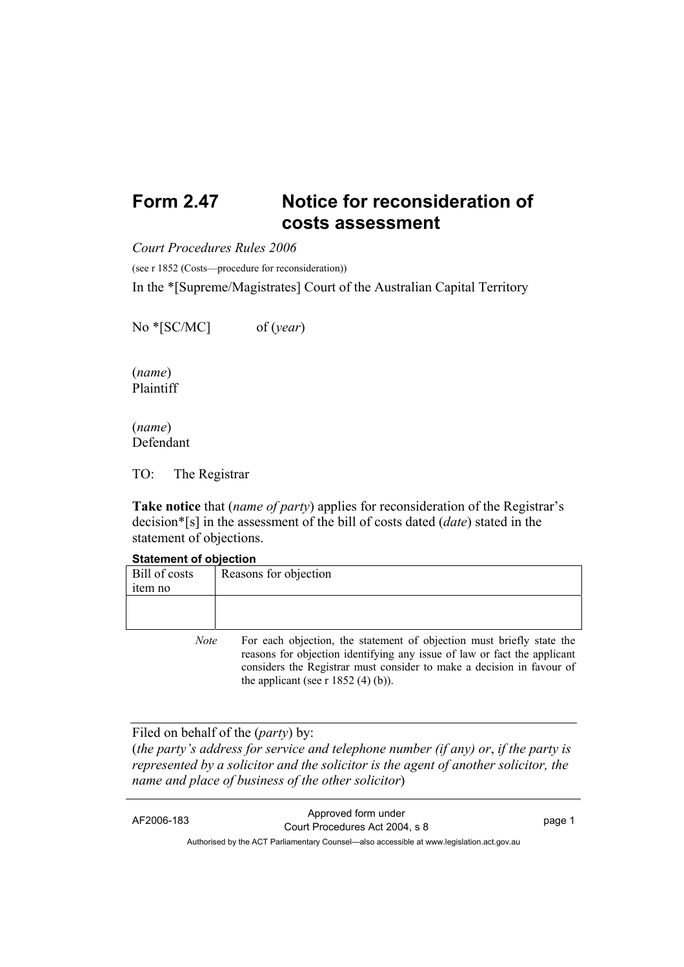## **Form 2.47 Notice for reconsideration of costs assessment**

*Court Procedures Rules 2006*

(see r 1852 (Costs—procedure for reconsideration))

In the \*[Supreme/Magistrates] Court of the Australian Capital Territory

No \*[SC/MC] of (*year*)

(*name*) Plaintiff

(*name*) Defendant

TO: The Registrar

**Take notice** that (*name of party*) applies for reconsideration of the Registrar's decision\*[s] in the assessment of the bill of costs dated (*date*) stated in the statement of objections.

## **Statement of objection**

| Bill of costs<br><sub>1</sub> tem no | Reasons for objection |
|--------------------------------------|-----------------------|
|                                      |                       |

*Note* For each objection, the statement of objection must briefly state the reasons for objection identifying any issue of law or fact the applicant considers the Registrar must consider to make a decision in favour of the applicant (see r  $1852$  (4) (b)).

Filed on behalf of the (*party*) by:

(*the party's address for service and telephone number (if any) or*, *if the party is represented by a solicitor and the solicitor is the agent of another solicitor, the name and place of business of the other solicitor*)

AF2006-183 Approved form under Court Procedures Act 2004, s 8 page 1 Authorised by the ACT Parliamentary Counsel—also accessible at www.legislation.act.gov.au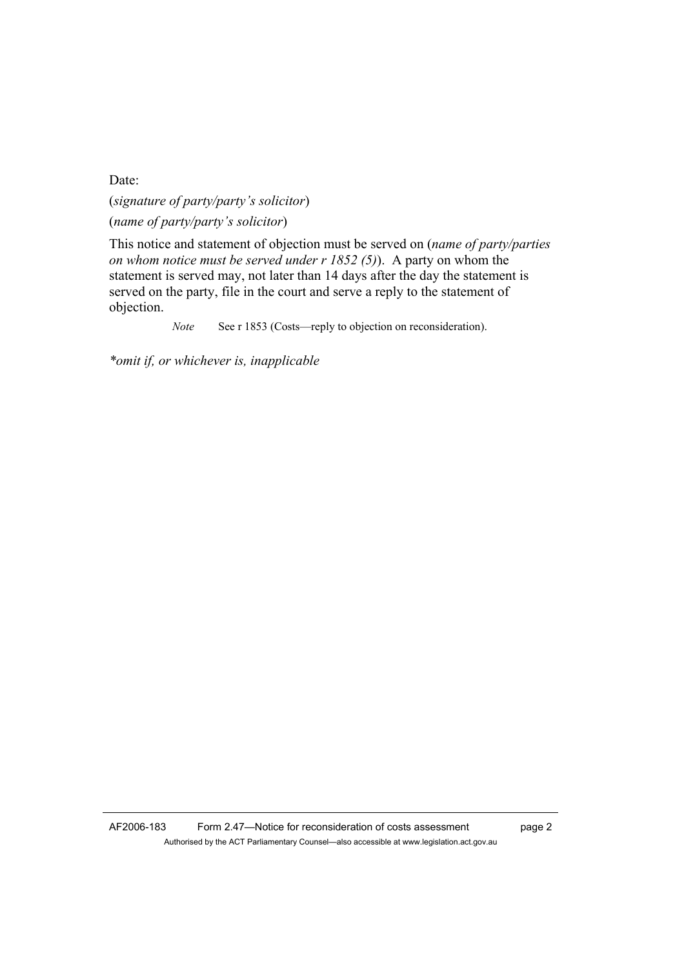Date:

(*signature of party/party's solicitor*) (*name of party/party's solicitor*)

This notice and statement of objection must be served on (*name of party/parties on whom notice must be served under r 1852 (5)*). A party on whom the statement is served may, not later than 14 days after the day the statement is served on the party, file in the court and serve a reply to the statement of objection.

*Note* See r 1853 (Costs—reply to objection on reconsideration).

*\*omit if, or whichever is, inapplicable*